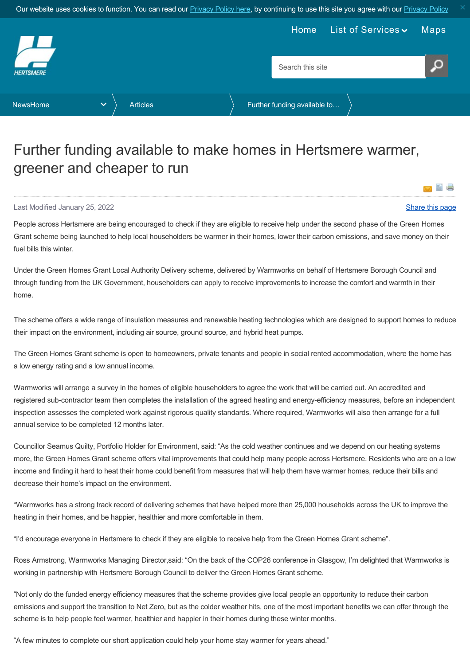<span id="page-0-0"></span>

## Further funding available to make homes in Hertsmere warmer, greener and cheaper to run

## Last Modified January 25, 2022 [Share this page](http://www.addthis.com/bookmark.php?v=250&pubid=xa-502e5fd570edcb1e) of the state of the state of the state of the state of the state of the state of the state of the state of the state of the state of the state of the state of the state of the

Y

People across Hertsmere are being encouraged to check if they are eligible to receive help under the second phase of the Green Homes Grant scheme being launched to help local householders be warmer in their homes, lower their carbon emissions, and save money on their fuel bills this winter.

Under the Green Homes Grant Local Authority Delivery scheme, delivered by Warmworks on behalf of Hertsmere Borough Council and through funding from the UK Government, householders can apply to receive improvements to increase the comfort and warmth in their home.

The scheme offers a wide range of insulation measures and renewable heating technologies which are designed to support homes to reduce their impact on the environment, including air source, ground source, and hybrid heat pumps.

The Green Homes Grant scheme is open to homeowners, private tenants and people in social rented accommodation, where the home has a low energy rating and a low annual income.

Warmworks will arrange a survey in the homes of eligible householders to agree the work that will be carried out. An accredited and registered sub-contractor team then completes the installation of the agreed heating and energy-efficiency measures, before an independent inspection assesses the completed work against rigorous quality standards. Where required, Warmworks will also then arrange for a full annual service to be completed 12 months later.

Councillor Seamus Quilty, Portfolio Holder for Environment, said: "As the cold weather continues and we depend on our heating systems more, the Green Homes Grant scheme offers vital improvements that could help many people across Hertsmere. Residents who are on a low income and finding it hard to heat their home could benefit from measures that will help them have warmer homes, reduce their bills and decrease their home's impact on the environment.

"Warmworks has a strong track record of delivering schemes that have helped more than 25,000 households across the UK to improve the heating in their homes, and be happier, healthier and more comfortable in them.

"I'd encourage everyone in Hertsmere to check if they are eligible to receive help from the Green Homes Grant scheme".

Ross Armstrong, Warmworks Managing Director,said: "On the back of the COP26 conference in Glasgow, I'm delighted that Warmworks is working in partnership with Hertsmere Borough Council to deliver the Green Homes Grant scheme.

"Not only do the funded energy efficiency measures that the scheme provides give local people an opportunity to reduce their carbon emissions and support the transition to Net Zero, but as the colder weather hits, one of the most important benefits we can offer through the scheme is to help people feel warmer, healthier and happier in their homes during these winter months.

"A few minutes to complete our short application could help your home stay warmer for years ahead."